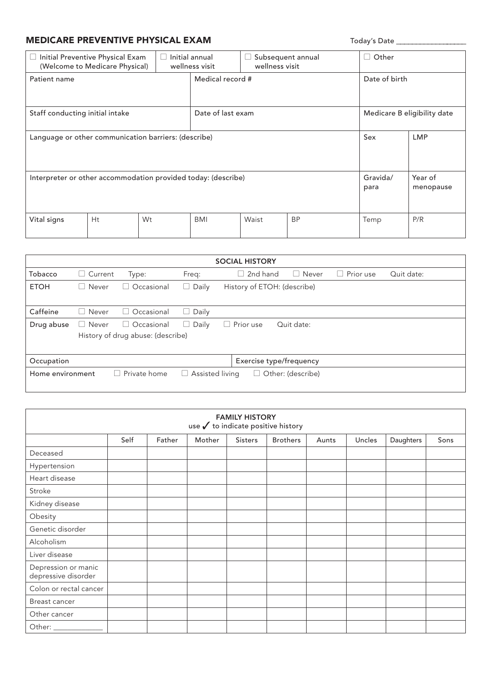## MEDICARE PREVENTIVE PHYSICAL EXAM Today's Date \_\_\_\_\_\_\_\_\_\_\_\_\_\_\_\_\_\_\_\_\_\_\_\_\_\_\_\_\_\_\_\_\_

| ⊔                                                             | Initial Preventive Physical Exam<br>(Welcome to Medicare Physical) | L  | Initial annual<br>wellness visit |       | Subsequent annual<br>wellness visit | Other<br>$\vert \ \ \vert$  |     |
|---------------------------------------------------------------|--------------------------------------------------------------------|----|----------------------------------|-------|-------------------------------------|-----------------------------|-----|
| Patient name                                                  |                                                                    |    | Medical record #                 |       |                                     | Date of birth               |     |
| Staff conducting initial intake                               |                                                                    |    | Date of last exam                |       |                                     | Medicare B eligibility date |     |
| Language or other communication barriers: (describe)          |                                                                    |    |                                  |       | Sex                                 | <b>LMP</b>                  |     |
| Interpreter or other accommodation provided today: (describe) |                                                                    |    |                                  |       | Gravida/<br>para                    | Year of<br>menopause        |     |
| Vital signs                                                   | H <sub>t</sub>                                                     | Wt | <b>BMI</b>                       | Waist | <b>BP</b>                           | Temp                        | P/R |

|                  |                |                                   |                        | <b>SOCIAL HISTORY</b>       |                   |                     |            |
|------------------|----------------|-----------------------------------|------------------------|-----------------------------|-------------------|---------------------|------------|
| Tobacco          | $\Box$ Current | Type:                             | Freq:                  | 2nd hand<br>r.              | $\Box$ Never      | Prior use<br>$\Box$ | Quit date: |
| <b>ETOH</b>      | Never<br>H     | Occasional<br>- 1                 | $\Box$ Daily           | History of ETOH: (describe) |                   |                     |            |
|                  |                |                                   |                        |                             |                   |                     |            |
| Caffeine         | $\Box$ Never   | $\Box$ Occasional                 | $\Box$ Daily           |                             |                   |                     |            |
| Drug abuse       | $\Box$ Never   | $\Box$ Occasional                 | Daily<br>u             | $\Box$ Prior use            | Quit date:        |                     |            |
|                  |                | History of drug abuse: (describe) |                        |                             |                   |                     |            |
|                  |                |                                   |                        |                             |                   |                     |            |
| Occupation       |                |                                   |                        | Exercise type/frequency     |                   |                     |            |
| Home environment | $\Box$         | Private home                      | $\Box$ Assisted living | $\Box$                      | Other: (describe) |                     |            |
|                  |                |                                   |                        |                             |                   |                     |            |

| <b>FAMILY HISTORY</b><br>use $\checkmark$ to indicate positive history |      |        |        |                |                 |       |        |           |      |
|------------------------------------------------------------------------|------|--------|--------|----------------|-----------------|-------|--------|-----------|------|
|                                                                        | Self | Father | Mother | <b>Sisters</b> | <b>Brothers</b> | Aunts | Uncles | Daughters | Sons |
| Deceased                                                               |      |        |        |                |                 |       |        |           |      |
| Hypertension                                                           |      |        |        |                |                 |       |        |           |      |
| Heart disease                                                          |      |        |        |                |                 |       |        |           |      |
| Stroke                                                                 |      |        |        |                |                 |       |        |           |      |
| Kidney disease                                                         |      |        |        |                |                 |       |        |           |      |
| Obesity                                                                |      |        |        |                |                 |       |        |           |      |
| Genetic disorder                                                       |      |        |        |                |                 |       |        |           |      |
| Alcoholism                                                             |      |        |        |                |                 |       |        |           |      |
| Liver disease                                                          |      |        |        |                |                 |       |        |           |      |
| Depression or manic<br>depressive disorder                             |      |        |        |                |                 |       |        |           |      |
| Colon or rectal cancer                                                 |      |        |        |                |                 |       |        |           |      |
| Breast cancer                                                          |      |        |        |                |                 |       |        |           |      |
| Other cancer                                                           |      |        |        |                |                 |       |        |           |      |
|                                                                        |      |        |        |                |                 |       |        |           |      |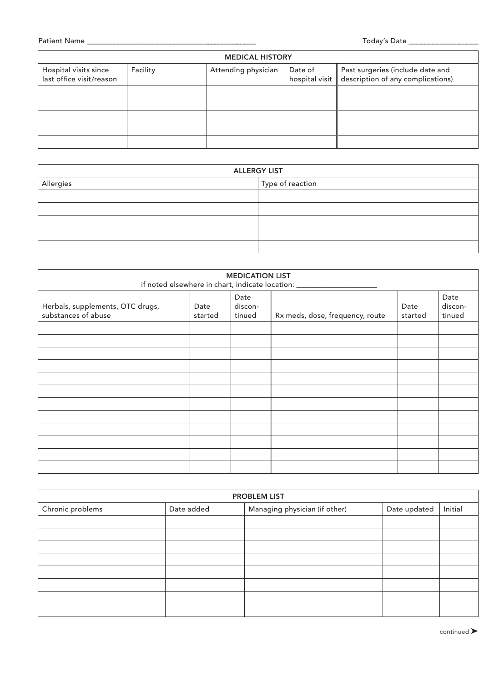| <b>MEDICAL HISTORY</b>                            |          |                     |  |                                                                                                  |  |
|---------------------------------------------------|----------|---------------------|--|--------------------------------------------------------------------------------------------------|--|
| Hospital visits since<br>last office visit/reason | Facility | Attending physician |  | Date of <b>Past surgeries (include date and hospital visit description of any complications)</b> |  |
|                                                   |          |                     |  |                                                                                                  |  |
|                                                   |          |                     |  |                                                                                                  |  |
|                                                   |          |                     |  |                                                                                                  |  |
|                                                   |          |                     |  |                                                                                                  |  |
|                                                   |          |                     |  |                                                                                                  |  |

| <b>ALLERGY LIST</b> |                  |  |  |
|---------------------|------------------|--|--|
| Allergies           | Type of reaction |  |  |
|                     |                  |  |  |
|                     |                  |  |  |
|                     |                  |  |  |
|                     |                  |  |  |
|                     |                  |  |  |

|                                                         |                 | <b>MEDICATION LIST</b>    | if noted elsewhere in chart, indicate location: ________________________________ |                 |                           |
|---------------------------------------------------------|-----------------|---------------------------|----------------------------------------------------------------------------------|-----------------|---------------------------|
| Herbals, supplements, OTC drugs,<br>substances of abuse | Date<br>started | Date<br>discon-<br>tinued | Rx meds, dose, frequency, route                                                  | Date<br>started | Date<br>discon-<br>tinued |
|                                                         |                 |                           |                                                                                  |                 |                           |
|                                                         |                 |                           |                                                                                  |                 |                           |
|                                                         |                 |                           |                                                                                  |                 |                           |
|                                                         |                 |                           |                                                                                  |                 |                           |
|                                                         |                 |                           |                                                                                  |                 |                           |

|                  |            | <b>PROBLEM LIST</b>           |              |         |
|------------------|------------|-------------------------------|--------------|---------|
| Chronic problems | Date added | Managing physician (if other) | Date updated | Initial |
|                  |            |                               |              |         |
|                  |            |                               |              |         |
|                  |            |                               |              |         |
|                  |            |                               |              |         |
|                  |            |                               |              |         |
|                  |            |                               |              |         |
|                  |            |                               |              |         |
|                  |            |                               |              |         |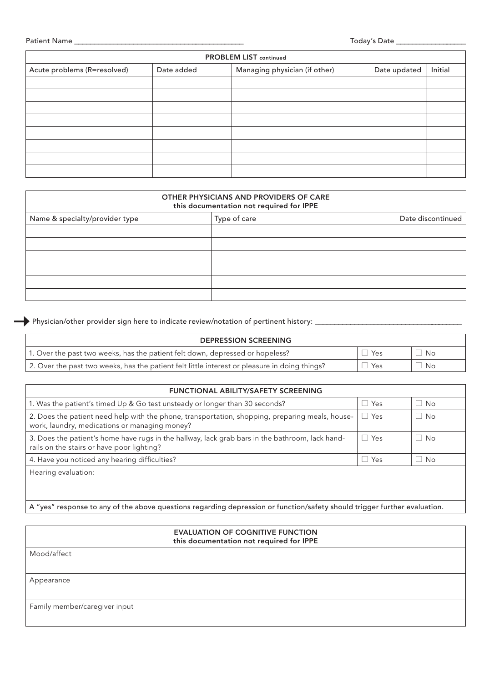| <b>PROBLEM LIST continued</b> |            |                               |              |         |
|-------------------------------|------------|-------------------------------|--------------|---------|
| Acute problems (R=resolved)   | Date added | Managing physician (if other) | Date updated | Initial |
|                               |            |                               |              |         |
|                               |            |                               |              |         |
|                               |            |                               |              |         |
|                               |            |                               |              |         |
|                               |            |                               |              |         |
|                               |            |                               |              |         |
|                               |            |                               |              |         |
|                               |            |                               |              |         |

| OTHER PHYSICIANS AND PROVIDERS OF CARE<br>this documentation not required for IPPE |              |                   |  |  |
|------------------------------------------------------------------------------------|--------------|-------------------|--|--|
| Name & specialty/provider type                                                     | Type of care | Date discontinued |  |  |
|                                                                                    |              |                   |  |  |
|                                                                                    |              |                   |  |  |
|                                                                                    |              |                   |  |  |
|                                                                                    |              |                   |  |  |
|                                                                                    |              |                   |  |  |
|                                                                                    |              |                   |  |  |

Physician/other provider sign here to indicate review/notation of pertinent history: \_\_\_\_\_\_\_\_\_\_\_\_\_\_\_\_\_\_\_\_\_\_\_\_\_\_\_\_\_\_\_\_\_\_\_\_\_\_

| <b>DEPRESSION SCREENING</b>                                                                   |     |           |
|-----------------------------------------------------------------------------------------------|-----|-----------|
| 1. Over the past two weeks, has the patient felt down, depressed or hopeless?                 | Yes | No        |
| 2. Over the past two weeks, has the patient felt little interest or pleasure in doing things? | Yes | <b>No</b> |

| <b>FUNCTIONAL ABILITY/SAFETY SCREENING</b>                                                                                                       |            |           |
|--------------------------------------------------------------------------------------------------------------------------------------------------|------------|-----------|
| 1. Was the patient's timed Up & Go test unsteady or longer than 30 seconds?                                                                      | $\Box$ Yes | $\Box$ No |
| 2. Does the patient need help with the phone, transportation, shopping, preparing meals, house-<br>work, laundry, medications or managing money? | $\Box$ Yes | No        |
| 3. Does the patient's home have rugs in the hallway, lack grab bars in the bathroom, lack hand-<br>rails on the stairs or have poor lighting?    | $\Box$ Yes | No        |
| 4. Have you noticed any hearing difficulties?                                                                                                    | $\Box$ Yes | No        |
| Hearing evaluation:                                                                                                                              |            |           |

A "yes" response to any of the above questions regarding depression or function/safety should trigger further evaluation.

| <b>EVALUATION OF COGNITIVE FUNCTION</b>  |
|------------------------------------------|
| this documentation not required for IPPE |

Mood/affect

Appearance

Family member/caregiver input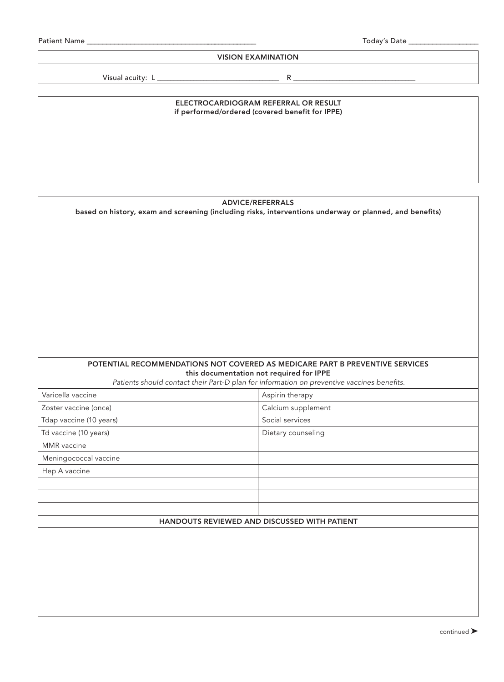#### VISION EXAMINATION

Visual acuity: L \_\_\_\_\_\_\_\_\_\_\_\_\_\_\_\_\_\_\_\_\_\_\_\_\_\_\_\_\_\_\_\_\_\_\_\_\_ R \_\_\_\_\_\_\_\_\_\_\_\_\_\_\_\_\_\_\_\_\_\_\_\_\_\_\_\_\_\_\_\_\_\_\_\_\_

# ELECTROCARDIOGRAM REFERRAL OR RESULT if performed/ordered (covered benefit for IPPE)

| <b>ADVICE/REFERRALS</b><br>based on history, exam and screening (including risks, interventions underway or planned, and benefits) |                                                                                                                                        |  |  |
|------------------------------------------------------------------------------------------------------------------------------------|----------------------------------------------------------------------------------------------------------------------------------------|--|--|
|                                                                                                                                    |                                                                                                                                        |  |  |
|                                                                                                                                    |                                                                                                                                        |  |  |
|                                                                                                                                    |                                                                                                                                        |  |  |
|                                                                                                                                    |                                                                                                                                        |  |  |
|                                                                                                                                    |                                                                                                                                        |  |  |
|                                                                                                                                    |                                                                                                                                        |  |  |
|                                                                                                                                    |                                                                                                                                        |  |  |
|                                                                                                                                    |                                                                                                                                        |  |  |
|                                                                                                                                    |                                                                                                                                        |  |  |
|                                                                                                                                    |                                                                                                                                        |  |  |
|                                                                                                                                    |                                                                                                                                        |  |  |
|                                                                                                                                    | POTENTIAL RECOMMENDATIONS NOT COVERED AS MEDICARE PART B PREVENTIVE SERVICES                                                           |  |  |
|                                                                                                                                    | this documentation not required for IPPE<br>Patients should contact their Part-D plan for information on preventive vaccines benefits. |  |  |
| Varicella vaccine                                                                                                                  | Aspirin therapy                                                                                                                        |  |  |
| Zoster vaccine (once)                                                                                                              | Calcium supplement                                                                                                                     |  |  |
| Tdap vaccine (10 years)                                                                                                            | Social services                                                                                                                        |  |  |
| Td vaccine (10 years)                                                                                                              | Dietary counseling                                                                                                                     |  |  |
| MMR vaccine                                                                                                                        |                                                                                                                                        |  |  |
| Meningococcal vaccine                                                                                                              |                                                                                                                                        |  |  |
| Hep A vaccine                                                                                                                      |                                                                                                                                        |  |  |
|                                                                                                                                    |                                                                                                                                        |  |  |
|                                                                                                                                    |                                                                                                                                        |  |  |
|                                                                                                                                    |                                                                                                                                        |  |  |
| HANDOUTS REVIEWED AND DISCUSSED WITH PATIENT                                                                                       |                                                                                                                                        |  |  |
|                                                                                                                                    |                                                                                                                                        |  |  |
|                                                                                                                                    |                                                                                                                                        |  |  |
|                                                                                                                                    |                                                                                                                                        |  |  |
|                                                                                                                                    |                                                                                                                                        |  |  |
|                                                                                                                                    |                                                                                                                                        |  |  |
|                                                                                                                                    |                                                                                                                                        |  |  |
|                                                                                                                                    |                                                                                                                                        |  |  |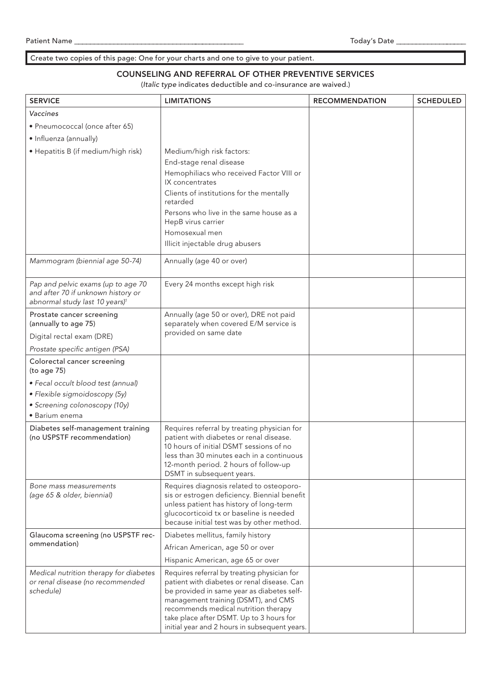### Create two copies of this page: One for your charts and one to give to your patient.

### COUNSELING AND REFERRAL OF OTHER PREVENTIVE SERVICES

(*Italic type* indicates deductible and co-insurance are waived.)

| <b>SERVICE</b>                                                                                                         | <b>LIMITATIONS</b>                                                                                                                                                                                                                                                                                                   | <b>RECOMMENDATION</b> | <b>SCHEDULED</b> |
|------------------------------------------------------------------------------------------------------------------------|----------------------------------------------------------------------------------------------------------------------------------------------------------------------------------------------------------------------------------------------------------------------------------------------------------------------|-----------------------|------------------|
| Vaccines                                                                                                               |                                                                                                                                                                                                                                                                                                                      |                       |                  |
| • Pneumococcal (once after 65)                                                                                         |                                                                                                                                                                                                                                                                                                                      |                       |                  |
| · Influenza (annually)                                                                                                 |                                                                                                                                                                                                                                                                                                                      |                       |                  |
| · Hepatitis B (if medium/high risk)                                                                                    | Medium/high risk factors:<br>End-stage renal disease<br>Hemophiliacs who received Factor VIII or<br>IX concentrates<br>Clients of institutions for the mentally<br>retarded<br>Persons who live in the same house as a<br>HepB virus carrier<br>Homosexual men                                                       |                       |                  |
|                                                                                                                        | Illicit injectable drug abusers                                                                                                                                                                                                                                                                                      |                       |                  |
| Mammogram (biennial age 50-74)                                                                                         | Annually (age 40 or over)                                                                                                                                                                                                                                                                                            |                       |                  |
| Pap and pelvic exams (up to age 70<br>and after 70 if unknown history or<br>abnormal study last 10 years) <sup>1</sup> | Every 24 months except high risk                                                                                                                                                                                                                                                                                     |                       |                  |
| Prostate cancer screening<br>(annually to age 75)                                                                      | Annually (age 50 or over), DRE not paid<br>separately when covered E/M service is                                                                                                                                                                                                                                    |                       |                  |
| Digital rectal exam (DRE)                                                                                              | provided on same date                                                                                                                                                                                                                                                                                                |                       |                  |
| Prostate specific antigen (PSA)                                                                                        |                                                                                                                                                                                                                                                                                                                      |                       |                  |
| Colorectal cancer screening<br>(to age 75)                                                                             |                                                                                                                                                                                                                                                                                                                      |                       |                  |
| • Fecal occult blood test (annual)                                                                                     |                                                                                                                                                                                                                                                                                                                      |                       |                  |
| · Flexible sigmoidoscopy (5y)                                                                                          |                                                                                                                                                                                                                                                                                                                      |                       |                  |
| · Screening colonoscopy (10y)                                                                                          |                                                                                                                                                                                                                                                                                                                      |                       |                  |
| • Barium enema                                                                                                         |                                                                                                                                                                                                                                                                                                                      |                       |                  |
| Diabetes self-management training<br>(no USPSTF recommendation)                                                        | Requires referral by treating physician for<br>patient with diabetes or renal disease.<br>10 hours of initial DSMT sessions of no<br>less than 30 minutes each in a continuous<br>12-month period. 2 hours of follow-up<br>DSMT in subsequent years.                                                                 |                       |                  |
| Bone mass measurements<br>(age 65 & older, biennial)                                                                   | Requires diagnosis related to osteoporo-<br>sis or estrogen deficiency. Biennial benefit<br>unless patient has history of long-term<br>glucocorticoid tx or baseline is needed<br>because initial test was by other method.                                                                                          |                       |                  |
| Glaucoma screening (no USPSTF rec-                                                                                     | Diabetes mellitus, family history                                                                                                                                                                                                                                                                                    |                       |                  |
| ommendation)                                                                                                           | African American, age 50 or over                                                                                                                                                                                                                                                                                     |                       |                  |
|                                                                                                                        | Hispanic American, age 65 or over                                                                                                                                                                                                                                                                                    |                       |                  |
| Medical nutrition therapy for diabetes<br>or renal disease (no recommended<br>schedule)                                | Requires referral by treating physician for<br>patient with diabetes or renal disease. Can<br>be provided in same year as diabetes self-<br>management training (DSMT), and CMS<br>recommends medical nutrition therapy<br>take place after DSMT. Up to 3 hours for<br>initial year and 2 hours in subsequent years. |                       |                  |